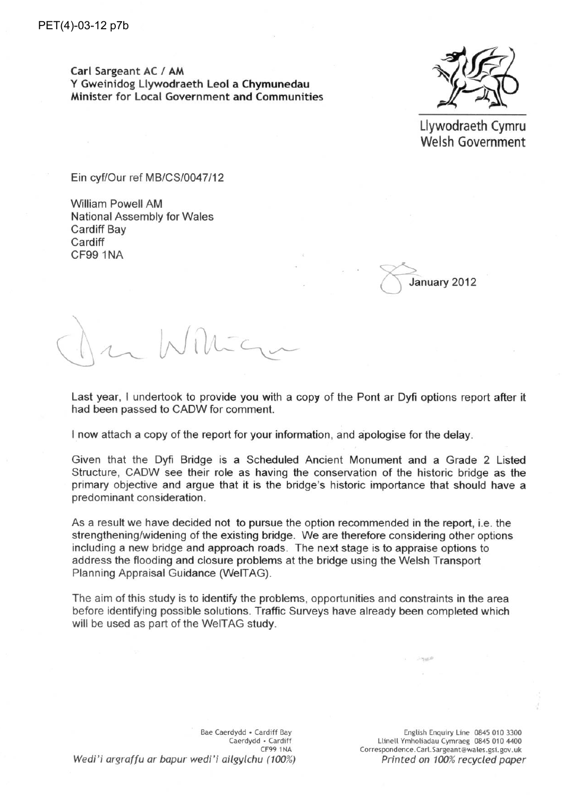Carl Sargeant AC / AM Y Gweinidog Llywodraeth Leol a Chymunedau Minister for Local Government and Communities



Llywodraeth Cymru Welsh Government

Ein cyf/Our ref MB/CS/0047/12

**William Powell AM National Assembly for Wales Cardiff Bay** Cardiff CF99 1NA

January 2012

Last year, I undertook to provide you with a copy of the Pont ar Dyfi options report after it had been passed to CADW for comment.

I now attach a copy of the report for your information, and apologise for the delay.

Given that the Dyfi Bridge is a Scheduled Ancient Monument and a Grade 2 Listed Structure. CADW see their role as having the conservation of the historic bridge as the primary objective and argue that it is the bridge's historic importance that should have a predominant consideration.

As a result we have decided not to pursue the option recommended in the report, i.e. the strengthening/widening of the existing bridge. We are therefore considering other options including a new bridge and approach roads. The next stage is to appraise options to address the flooding and closure problems at the bridge using the Welsh Transport Planning Appraisal Guidance (WelTAG).

The aim of this study is to identify the problems, opportunities and constraints in the area before identifying possible solutions. Traffic Surveys have already been completed which will be used as part of the WeITAG study.

Bae Caerdydd . Cardiff Bay Caerdydd • Cardiff CF99 1NA Wedi'i argraffu ar bapur wedi'i ailgylchu (100%)

English Enquiry Line 0845 010 3300 Llinell Ymholiadau Cymraeg 0845 010 4400 Correspondence.Carl.Sargeant@wales.gsi.gov.uk Printed on 100% recycled paper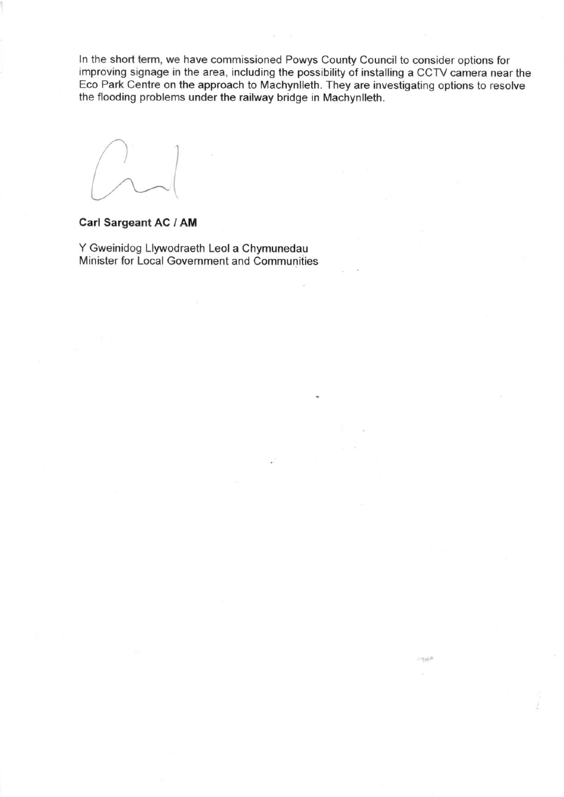In the short term, we have commissioned Powys County Council to consider options for improving signage in the area, including the possibility of installing a CCTV camera near the Eco Park Centre on the approach to Machynlleth. They are investigating options to resolve the flooding problems under the railway bridge in Machynlleth.

#### **Carl Sargeant AC / AM**

Y Gweinidog Llywodraeth Leol a Chymunedau Minister for Local Government and Communities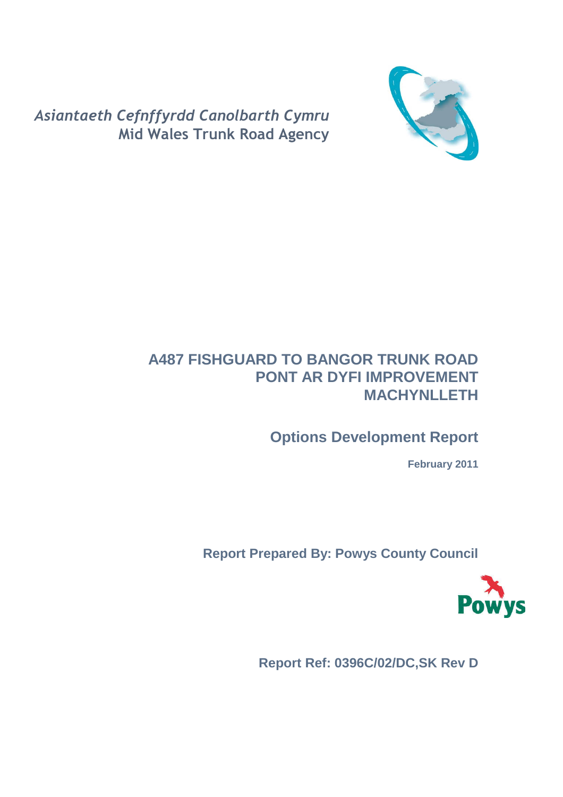

Asiantaeth Cefnffyrdd Canolbarth Cymru Mid Wales Trunk Road Agency

# **A487 FISHGUARD TO BANGOR TRUNK ROAD PONT AR DYFI IMPROVEMENT MACHYNLLETH**

# **Options Development Report**

**February 2011** 

**Report Prepared By: Powys County Council** 



**Report Ref: 0396C/02/DC,SK Rev D**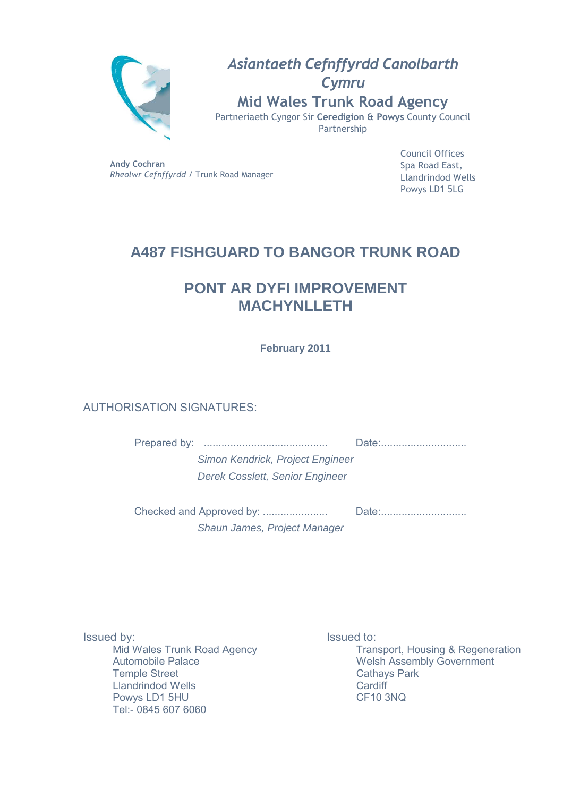

Asiantaeth Cefnffyrdd Canolbarth **Cymru** Mid Wales Trunk Road Agency Partneriaeth Cyngor Sir Ceredigion & Powys County Council Partnership

Andy Cochran Rheolwr Cefnffyrdd / Trunk Road Manager

Council Offices Spa Road East, Llandrindod Wells Powys LD1 5LG

# **A487 FISHGUARD TO BANGOR TRUNK ROAD**

# **PONT AR DYFI IMPROVEMENT MACHYNLLETH**

**February 2011** 

# AUTHORISATION SIGNATURES:

Prepared by: .......................................... Date:.............................

Simon Kendrick, Project Engineer Derek Cosslett, Senior Engineer

|                              | Date: |
|------------------------------|-------|
| Shaun James, Project Manager |       |

Issued by: Mid Wales Trunk Road Agency Automobile Palace Temple Street Llandrindod Wells Powys LD1 5HU Tel:- 0845 607 6060

Issued to: Transport, Housing & Regeneration Welsh Assembly Government Cathays Park **Cardiff** CF10 3NQ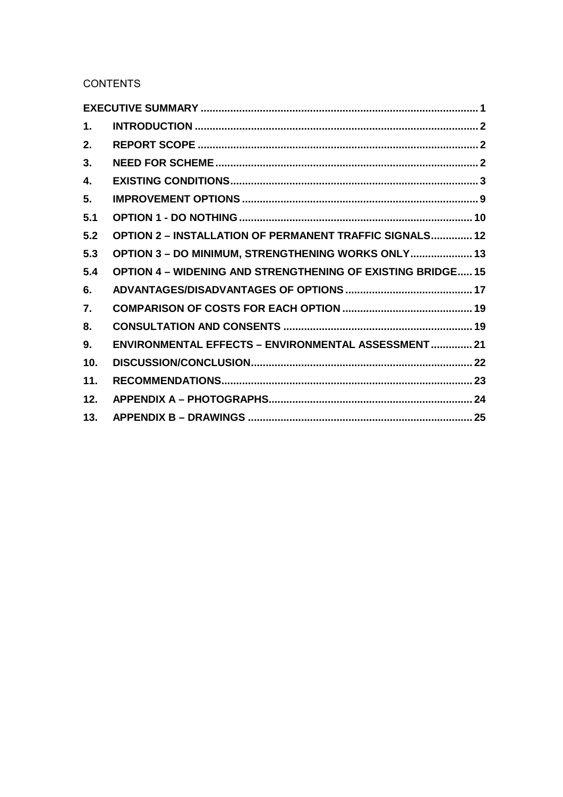**CONTENTS** 

| $\mathbf 1$ .    |                                                                    |  |
|------------------|--------------------------------------------------------------------|--|
| 2.               |                                                                    |  |
| 3.               |                                                                    |  |
| 4.               |                                                                    |  |
| 5.               |                                                                    |  |
| 5.1              |                                                                    |  |
| 5.2              | <b>OPTION 2 - INSTALLATION OF PERMANENT TRAFFIC SIGNALS 12</b>     |  |
| 5.3              | OPTION 3 - DO MINIMUM, STRENGTHENING WORKS ONLY 13                 |  |
| 5.4              | <b>OPTION 4 - WIDENING AND STRENGTHENING OF EXISTING BRIDGE 15</b> |  |
| 6.               |                                                                    |  |
| $\overline{7}$ . |                                                                    |  |
| 8.               |                                                                    |  |
| 9.               | ENVIRONMENTAL EFFECTS - ENVIRONMENTAL ASSESSMENT 21                |  |
| 10.              |                                                                    |  |
| 11.              |                                                                    |  |
| 12.              |                                                                    |  |
| 13.              |                                                                    |  |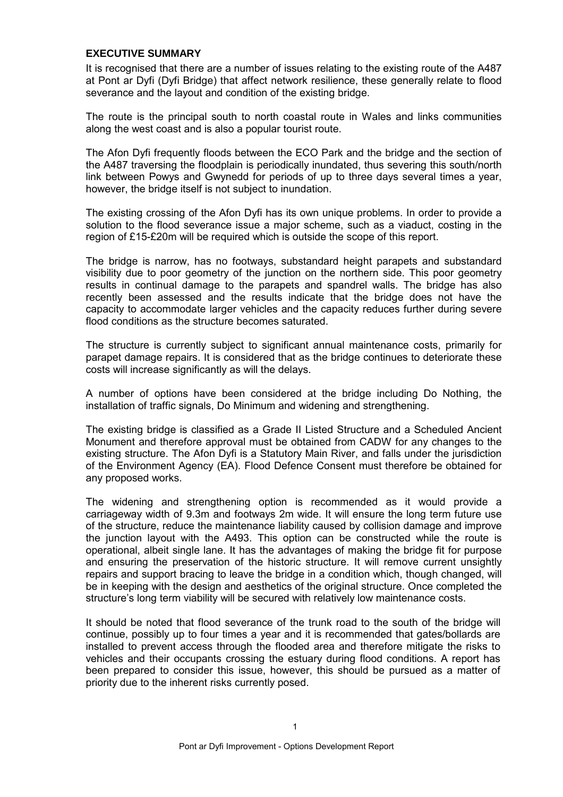#### **EXECUTIVE SUMMARY**

It is recognised that there are a number of issues relating to the existing route of the A487 at Pont ar Dyfi (Dyfi Bridge) that affect network resilience, these generally relate to flood severance and the layout and condition of the existing bridge.

The route is the principal south to north coastal route in Wales and links communities along the west coast and is also a popular tourist route.

The Afon Dyfi frequently floods between the ECO Park and the bridge and the section of the A487 traversing the floodplain is periodically inundated, thus severing this south/north link between Powys and Gwynedd for periods of up to three days several times a year, however, the bridge itself is not subject to inundation.

The existing crossing of the Afon Dyfi has its own unique problems. In order to provide a solution to the flood severance issue a major scheme, such as a viaduct, costing in the region of £15-£20m will be required which is outside the scope of this report.

The bridge is narrow, has no footways, substandard height parapets and substandard visibility due to poor geometry of the junction on the northern side. This poor geometry results in continual damage to the parapets and spandrel walls. The bridge has also recently been assessed and the results indicate that the bridge does not have the capacity to accommodate larger vehicles and the capacity reduces further during severe flood conditions as the structure becomes saturated.

The structure is currently subject to significant annual maintenance costs, primarily for parapet damage repairs. It is considered that as the bridge continues to deteriorate these costs will increase significantly as will the delays.

A number of options have been considered at the bridge including Do Nothing, the installation of traffic signals, Do Minimum and widening and strengthening.

The existing bridge is classified as a Grade II Listed Structure and a Scheduled Ancient Monument and therefore approval must be obtained from CADW for any changes to the existing structure. The Afon Dyfi is a Statutory Main River, and falls under the jurisdiction of the Environment Agency (EA). Flood Defence Consent must therefore be obtained for any proposed works.

The widening and strengthening option is recommended as it would provide a carriageway width of 9.3m and footways 2m wide. It will ensure the long term future use of the structure, reduce the maintenance liability caused by collision damage and improve the junction layout with the A493. This option can be constructed while the route is operational, albeit single lane. It has the advantages of making the bridge fit for purpose and ensuring the preservation of the historic structure. It will remove current unsightly repairs and support bracing to leave the bridge in a condition which, though changed, will be in keeping with the design and aesthetics of the original structure. Once completed the structure's long term viability will be secured with relatively low maintenance costs.

It should be noted that flood severance of the trunk road to the south of the bridge will continue, possibly up to four times a year and it is recommended that gates/bollards are installed to prevent access through the flooded area and therefore mitigate the risks to vehicles and their occupants crossing the estuary during flood conditions. A report has been prepared to consider this issue, however, this should be pursued as a matter of priority due to the inherent risks currently posed.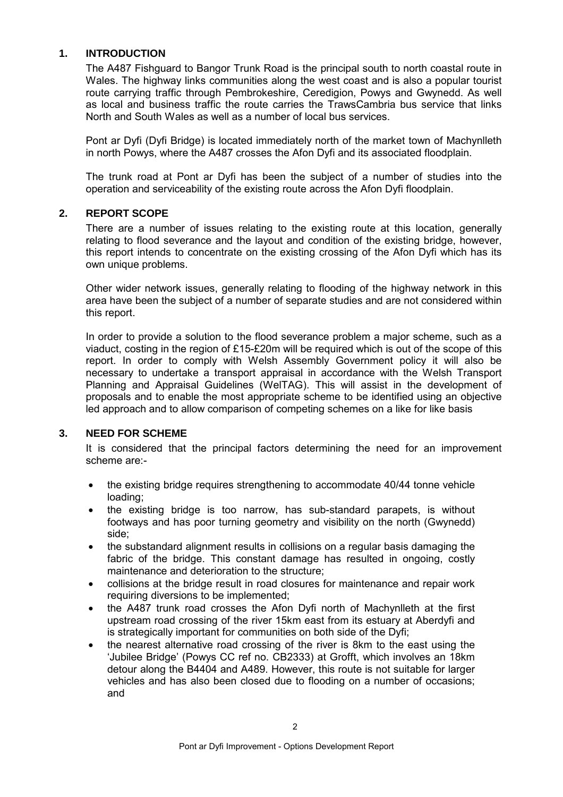### **1. INTRODUCTION**

The A487 Fishguard to Bangor Trunk Road is the principal south to north coastal route in Wales. The highway links communities along the west coast and is also a popular tourist route carrying traffic through Pembrokeshire, Ceredigion, Powys and Gwynedd. As well as local and business traffic the route carries the TrawsCambria bus service that links North and South Wales as well as a number of local bus services.

Pont ar Dyfi (Dyfi Bridge) is located immediately north of the market town of Machynlleth in north Powys, where the A487 crosses the Afon Dyfi and its associated floodplain.

The trunk road at Pont ar Dyfi has been the subject of a number of studies into the operation and serviceability of the existing route across the Afon Dyfi floodplain.

# **2. REPORT SCOPE**

There are a number of issues relating to the existing route at this location, generally relating to flood severance and the layout and condition of the existing bridge, however, this report intends to concentrate on the existing crossing of the Afon Dyfi which has its own unique problems.

Other wider network issues, generally relating to flooding of the highway network in this area have been the subject of a number of separate studies and are not considered within this report.

In order to provide a solution to the flood severance problem a major scheme, such as a viaduct, costing in the region of £15-£20m will be required which is out of the scope of this report. In order to comply with Welsh Assembly Government policy it will also be necessary to undertake a transport appraisal in accordance with the Welsh Transport Planning and Appraisal Guidelines (WelTAG). This will assist in the development of proposals and to enable the most appropriate scheme to be identified using an objective led approach and to allow comparison of competing schemes on a like for like basis

#### **3. NEED FOR SCHEME**

It is considered that the principal factors determining the need for an improvement scheme are:-

- the existing bridge requires strengthening to accommodate 40/44 tonne vehicle loading;
- the existing bridge is too narrow, has sub-standard parapets, is without footways and has poor turning geometry and visibility on the north (Gwynedd) side;
- the substandard alignment results in collisions on a regular basis damaging the fabric of the bridge. This constant damage has resulted in ongoing, costly maintenance and deterioration to the structure;
- collisions at the bridge result in road closures for maintenance and repair work requiring diversions to be implemented;
- the A487 trunk road crosses the Afon Dyfi north of Machynlleth at the first upstream road crossing of the river 15km east from its estuary at Aberdyfi and is strategically important for communities on both side of the Dyfi;
- the nearest alternative road crossing of the river is 8km to the east using the 'Jubilee Bridge' (Powys CC ref no. CB2333) at Grofft, which involves an 18km detour along the B4404 and A489. However, this route is not suitable for larger vehicles and has also been closed due to flooding on a number of occasions; and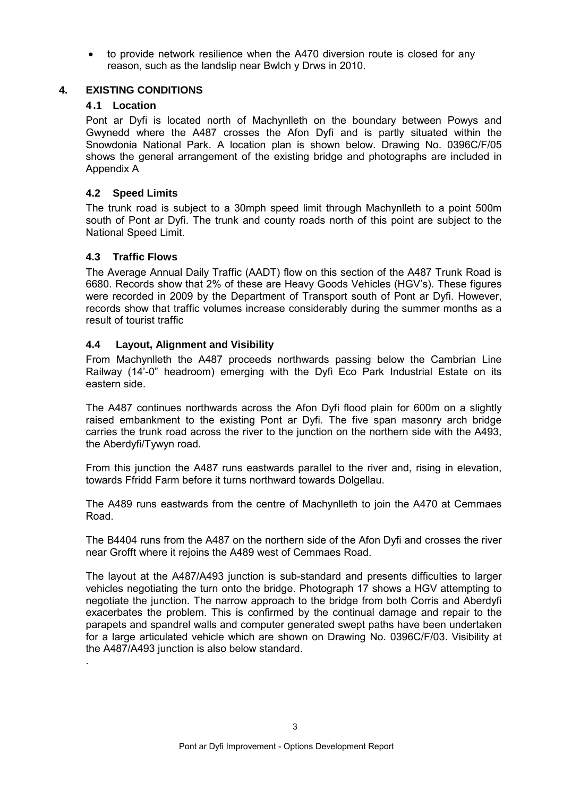• to provide network resilience when the A470 diversion route is closed for any reason, such as the landslip near Bwlch y Drws in 2010.

### **4. EXISTING CONDITIONS**

### **4 .1 Location**

Pont ar Dyfi is located north of Machynlleth on the boundary between Powys and Gwynedd where the A487 crosses the Afon Dyfi and is partly situated within the Snowdonia National Park. A location plan is shown below. Drawing No. 0396C/F/05 shows the general arrangement of the existing bridge and photographs are included in Appendix A

# **4.2 Speed Limits**

The trunk road is subject to a 30mph speed limit through Machynlleth to a point 500m south of Pont ar Dyfi. The trunk and county roads north of this point are subject to the National Speed Limit.

# **4.3 Traffic Flows**

.

The Average Annual Daily Traffic (AADT) flow on this section of the A487 Trunk Road is 6680. Records show that 2% of these are Heavy Goods Vehicles (HGV's). These figures were recorded in 2009 by the Department of Transport south of Pont ar Dyfi. However, records show that traffic volumes increase considerably during the summer months as a result of tourist traffic

# **4.4 Layout, Alignment and Visibility**

From Machynlleth the A487 proceeds northwards passing below the Cambrian Line Railway (14'-0" headroom) emerging with the Dyfi Eco Park Industrial Estate on its eastern side.

The A487 continues northwards across the Afon Dyfi flood plain for 600m on a slightly raised embankment to the existing Pont ar Dyfi. The five span masonry arch bridge carries the trunk road across the river to the junction on the northern side with the A493, the Aberdyfi/Tywyn road.

From this junction the A487 runs eastwards parallel to the river and, rising in elevation, towards Ffridd Farm before it turns northward towards Dolgellau.

The A489 runs eastwards from the centre of Machynlleth to join the A470 at Cemmaes Road.

The B4404 runs from the A487 on the northern side of the Afon Dyfi and crosses the river near Grofft where it rejoins the A489 west of Cemmaes Road.

The layout at the A487/A493 junction is sub-standard and presents difficulties to larger vehicles negotiating the turn onto the bridge. Photograph 17 shows a HGV attempting to negotiate the junction. The narrow approach to the bridge from both Corris and Aberdyfi exacerbates the problem. This is confirmed by the continual damage and repair to the parapets and spandrel walls and computer generated swept paths have been undertaken for a large articulated vehicle which are shown on Drawing No. 0396C/F/03. Visibility at the A487/A493 junction is also below standard.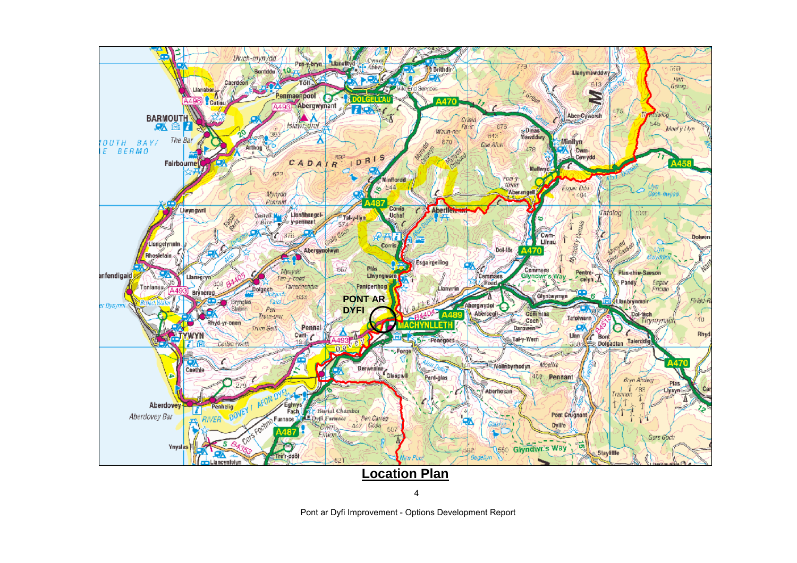

4

Pont ar Dyfi Improvement - Options Development Report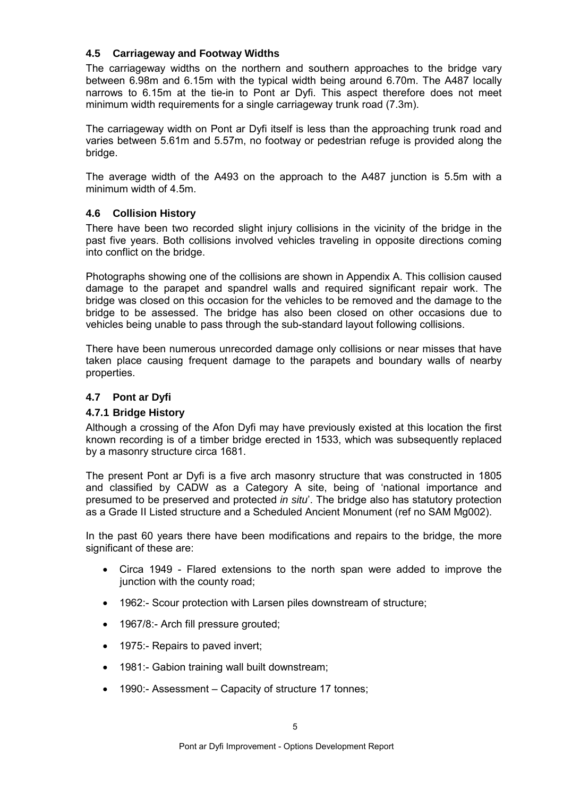### **4.5 Carriageway and Footway Widths**

The carriageway widths on the northern and southern approaches to the bridge vary between 6.98m and 6.15m with the typical width being around 6.70m. The A487 locally narrows to 6.15m at the tie-in to Pont ar Dyfi. This aspect therefore does not meet minimum width requirements for a single carriageway trunk road (7.3m).

The carriageway width on Pont ar Dyfi itself is less than the approaching trunk road and varies between 5.61m and 5.57m, no footway or pedestrian refuge is provided along the bridge.

The average width of the A493 on the approach to the A487 junction is 5.5m with a minimum width of 4.5m.

# **4.6 Collision History**

There have been two recorded slight injury collisions in the vicinity of the bridge in the past five years. Both collisions involved vehicles traveling in opposite directions coming into conflict on the bridge.

Photographs showing one of the collisions are shown in Appendix A. This collision caused damage to the parapet and spandrel walls and required significant repair work. The bridge was closed on this occasion for the vehicles to be removed and the damage to the bridge to be assessed. The bridge has also been closed on other occasions due to vehicles being unable to pass through the sub-standard layout following collisions.

There have been numerous unrecorded damage only collisions or near misses that have taken place causing frequent damage to the parapets and boundary walls of nearby properties.

# **4.7 Pont ar Dyfi**

#### **4.7.1 Bridge History**

Although a crossing of the Afon Dyfi may have previously existed at this location the first known recording is of a timber bridge erected in 1533, which was subsequently replaced by a masonry structure circa 1681.

The present Pont ar Dyfi is a five arch masonry structure that was constructed in 1805 and classified by CADW as a Category A site, being of 'national importance and presumed to be preserved and protected in situ'. The bridge also has statutory protection as a Grade II Listed structure and a Scheduled Ancient Monument (ref no SAM Mg002).

In the past 60 years there have been modifications and repairs to the bridge, the more significant of these are:

- Circa 1949 Flared extensions to the north span were added to improve the junction with the county road:
- 1962:- Scour protection with Larsen piles downstream of structure;
- 1967/8:- Arch fill pressure grouted;
- 1975:- Repairs to paved invert;
- 1981:- Gabion training wall built downstream;
- 1990:- Assessment Capacity of structure 17 tonnes;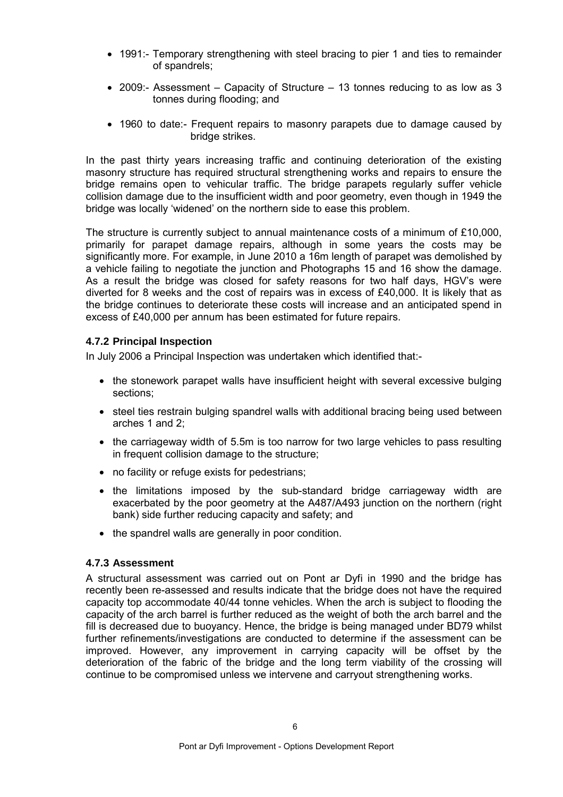- 1991:- Temporary strengthening with steel bracing to pier 1 and ties to remainder of spandrels;
- 2009:- Assessment Capacity of Structure 13 tonnes reducing to as low as 3 tonnes during flooding; and
- 1960 to date:- Frequent repairs to masonry parapets due to damage caused by bridge strikes.

In the past thirty years increasing traffic and continuing deterioration of the existing masonry structure has required structural strengthening works and repairs to ensure the bridge remains open to vehicular traffic. The bridge parapets regularly suffer vehicle collision damage due to the insufficient width and poor geometry, even though in 1949 the bridge was locally 'widened' on the northern side to ease this problem.

The structure is currently subject to annual maintenance costs of a minimum of £10,000, primarily for parapet damage repairs, although in some years the costs may be significantly more. For example, in June 2010 a 16m length of parapet was demolished by a vehicle failing to negotiate the junction and Photographs 15 and 16 show the damage. As a result the bridge was closed for safety reasons for two half days, HGV's were diverted for 8 weeks and the cost of repairs was in excess of £40,000. It is likely that as the bridge continues to deteriorate these costs will increase and an anticipated spend in excess of £40,000 per annum has been estimated for future repairs.

#### **4.7.2 Principal Inspection**

In July 2006 a Principal Inspection was undertaken which identified that:-

- the stonework parapet walls have insufficient height with several excessive bulging sections;
- steel ties restrain bulging spandrel walls with additional bracing being used between arches 1 and 2;
- the carriageway width of 5.5m is too narrow for two large vehicles to pass resulting in frequent collision damage to the structure;
- no facility or refuge exists for pedestrians;
- the limitations imposed by the sub-standard bridge carriageway width are exacerbated by the poor geometry at the A487/A493 junction on the northern (right bank) side further reducing capacity and safety; and
- the spandrel walls are generally in poor condition.

#### **4.7.3 Assessment**

A structural assessment was carried out on Pont ar Dyfi in 1990 and the bridge has recently been re-assessed and results indicate that the bridge does not have the required capacity top accommodate 40/44 tonne vehicles. When the arch is subject to flooding the capacity of the arch barrel is further reduced as the weight of both the arch barrel and the fill is decreased due to buoyancy. Hence, the bridge is being managed under BD79 whilst further refinements/investigations are conducted to determine if the assessment can be improved. However, any improvement in carrying capacity will be offset by the deterioration of the fabric of the bridge and the long term viability of the crossing will continue to be compromised unless we intervene and carryout strengthening works.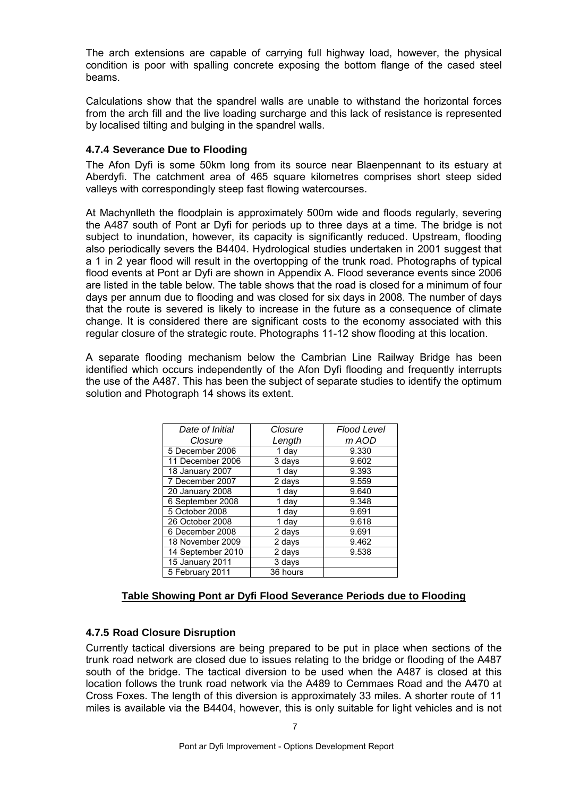The arch extensions are capable of carrying full highway load, however, the physical condition is poor with spalling concrete exposing the bottom flange of the cased steel beams.

Calculations show that the spandrel walls are unable to withstand the horizontal forces from the arch fill and the live loading surcharge and this lack of resistance is represented by localised tilting and bulging in the spandrel walls.

### **4.7.4 Severance Due to Flooding**

The Afon Dyfi is some 50km long from its source near Blaenpennant to its estuary at Aberdyfi. The catchment area of 465 square kilometres comprises short steep sided valleys with correspondingly steep fast flowing watercourses.

At Machynlleth the floodplain is approximately 500m wide and floods regularly, severing the A487 south of Pont ar Dyfi for periods up to three days at a time. The bridge is not subject to inundation, however, its capacity is significantly reduced. Upstream, flooding also periodically severs the B4404. Hydrological studies undertaken in 2001 suggest that a 1 in 2 year flood will result in the overtopping of the trunk road. Photographs of typical flood events at Pont ar Dyfi are shown in Appendix A. Flood severance events since 2006 are listed in the table below. The table shows that the road is closed for a minimum of four days per annum due to flooding and was closed for six days in 2008. The number of days that the route is severed is likely to increase in the future as a consequence of climate change. It is considered there are significant costs to the economy associated with this regular closure of the strategic route. Photographs 11-12 show flooding at this location.

A separate flooding mechanism below the Cambrian Line Railway Bridge has been identified which occurs independently of the Afon Dyfi flooding and frequently interrupts the use of the A487. This has been the subject of separate studies to identify the optimum solution and Photograph 14 shows its extent.

| Date of Initial   | Closure  | Flood Level |
|-------------------|----------|-------------|
| Closure           | Length   | m AOD       |
| 5 December 2006   | 1 day    | 9.330       |
| 11 December 2006  | 3 days   | 9.602       |
| 18 January 2007   | 1 day    | 9.393       |
| 7 December 2007   | 2 days   | 9.559       |
| 20 January 2008   | 1 day    | 9.640       |
| 6 September 2008  | 1 day    | 9.348       |
| 5 October 2008    | 1 day    | 9.691       |
| 26 October 2008   | 1 day    | 9.618       |
| 6 December 2008   | 2 days   | 9.691       |
| 18 November 2009  | 2 days   | 9.462       |
| 14 September 2010 | 2 days   | 9.538       |
| 15 January 2011   | 3 days   |             |
| 5 February 2011   | 36 hours |             |

# **Table Showing Pont ar Dyfi Flood Severance Periods due to Flooding**

# **4.7.5 Road Closure Disruption**

Currently tactical diversions are being prepared to be put in place when sections of the trunk road network are closed due to issues relating to the bridge or flooding of the A487 south of the bridge. The tactical diversion to be used when the A487 is closed at this location follows the trunk road network via the A489 to Cemmaes Road and the A470 at Cross Foxes. The length of this diversion is approximately 33 miles. A shorter route of 11 miles is available via the B4404, however, this is only suitable for light vehicles and is not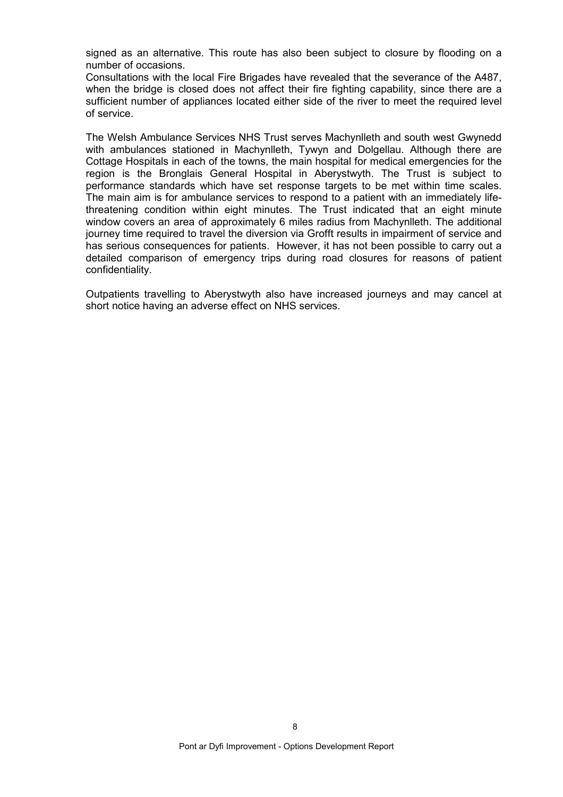signed as an alternative. This route has also been subject to closure by flooding on a number of occasions.

Consultations with the local Fire Brigades have revealed that the severance of the A487, when the bridge is closed does not affect their fire fighting capability, since there are a sufficient number of appliances located either side of the river to meet the required level of service.

The Welsh Ambulance Services NHS Trust serves Machynlleth and south west Gwynedd with ambulances stationed in Machynlleth, Tywyn and Dolgellau. Although there are Cottage Hospitals in each of the towns, the main hospital for medical emergencies for the region is the Bronglais General Hospital in Aberystwyth. The Trust is subject to performance standards which have set response targets to be met within time scales. The main aim is for ambulance services to respond to a patient with an immediately lifethreatening condition within eight minutes. The Trust indicated that an eight minute window covers an area of approximately 6 miles radius from Machynlleth. The additional journey time required to travel the diversion via Grofft results in impairment of service and has serious consequences for patients. However, it has not been possible to carry out a detailed comparison of emergency trips during road closures for reasons of patient confidentiality.

Outpatients travelling to Aberystwyth also have increased journeys and may cancel at short notice having an adverse effect on NHS services.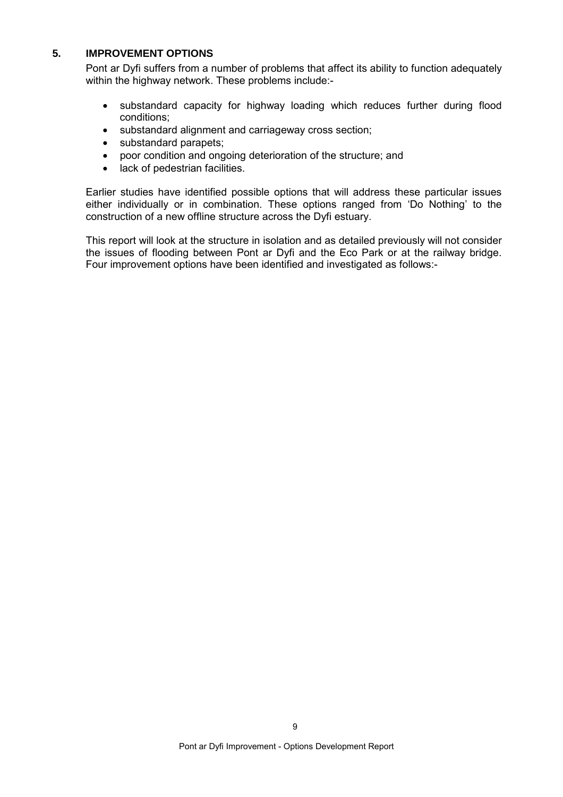#### **5. IMPROVEMENT OPTIONS**

Pont ar Dyfi suffers from a number of problems that affect its ability to function adequately within the highway network. These problems include:-

- substandard capacity for highway loading which reduces further during flood conditions;
- substandard alignment and carriageway cross section;
- substandard parapets:
- poor condition and ongoing deterioration of the structure; and
- lack of pedestrian facilities.

Earlier studies have identified possible options that will address these particular issues either individually or in combination. These options ranged from 'Do Nothing' to the construction of a new offline structure across the Dyfi estuary.

This report will look at the structure in isolation and as detailed previously will not consider the issues of flooding between Pont ar Dyfi and the Eco Park or at the railway bridge. Four improvement options have been identified and investigated as follows:-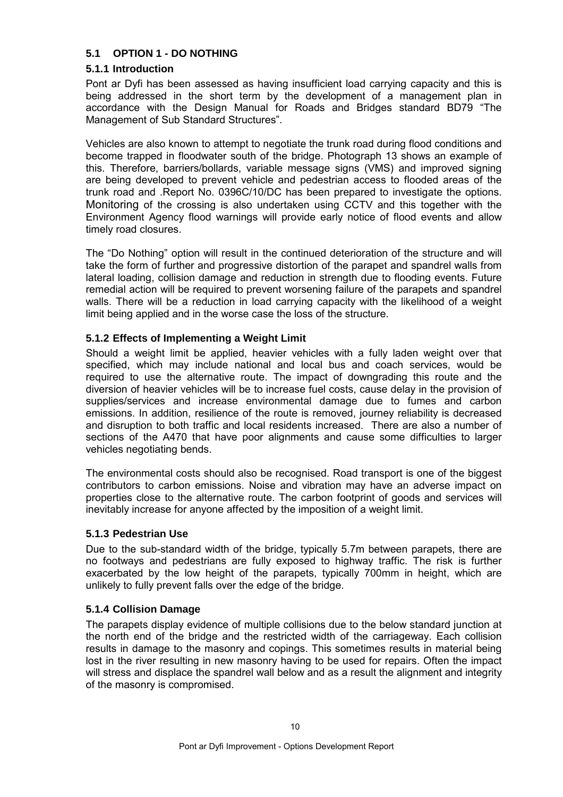# **5.1 OPTION 1 - DO NOTHING**

# **5.1.1 Introduction**

Pont ar Dyfi has been assessed as having insufficient load carrying capacity and this is being addressed in the short term by the development of a management plan in accordance with the Design Manual for Roads and Bridges standard BD79 "The Management of Sub Standard Structures".

Vehicles are also known to attempt to negotiate the trunk road during flood conditions and become trapped in floodwater south of the bridge. Photograph 13 shows an example of this. Therefore, barriers/bollards, variable message signs (VMS) and improved signing are being developed to prevent vehicle and pedestrian access to flooded areas of the trunk road and .Report No. 0396C/10/DC has been prepared to investigate the options. Monitoring of the crossing is also undertaken using CCTV and this together with the Environment Agency flood warnings will provide early notice of flood events and allow timely road closures.

The "Do Nothing" option will result in the continued deterioration of the structure and will take the form of further and progressive distortion of the parapet and spandrel walls from lateral loading, collision damage and reduction in strength due to flooding events. Future remedial action will be required to prevent worsening failure of the parapets and spandrel walls. There will be a reduction in load carrying capacity with the likelihood of a weight limit being applied and in the worse case the loss of the structure.

# **5.1.2 Effects of Implementing a Weight Limit**

Should a weight limit be applied, heavier vehicles with a fully laden weight over that specified, which may include national and local bus and coach services, would be required to use the alternative route. The impact of downgrading this route and the diversion of heavier vehicles will be to increase fuel costs, cause delay in the provision of supplies/services and increase environmental damage due to fumes and carbon emissions. In addition, resilience of the route is removed, journey reliability is decreased and disruption to both traffic and local residents increased. There are also a number of sections of the A470 that have poor alignments and cause some difficulties to larger vehicles negotiating bends.

The environmental costs should also be recognised. Road transport is one of the biggest contributors to carbon emissions. Noise and vibration may have an adverse impact on properties close to the alternative route. The carbon footprint of goods and services will inevitably increase for anyone affected by the imposition of a weight limit.

#### **5.1.3 Pedestrian Use**

Due to the sub-standard width of the bridge, typically 5.7m between parapets, there are no footways and pedestrians are fully exposed to highway traffic. The risk is further exacerbated by the low height of the parapets, typically 700mm in height, which are unlikely to fully prevent falls over the edge of the bridge.

#### **5.1.4 Collision Damage**

The parapets display evidence of multiple collisions due to the below standard junction at the north end of the bridge and the restricted width of the carriageway. Each collision results in damage to the masonry and copings. This sometimes results in material being lost in the river resulting in new masonry having to be used for repairs. Often the impact will stress and displace the spandrel wall below and as a result the alignment and integrity of the masonry is compromised.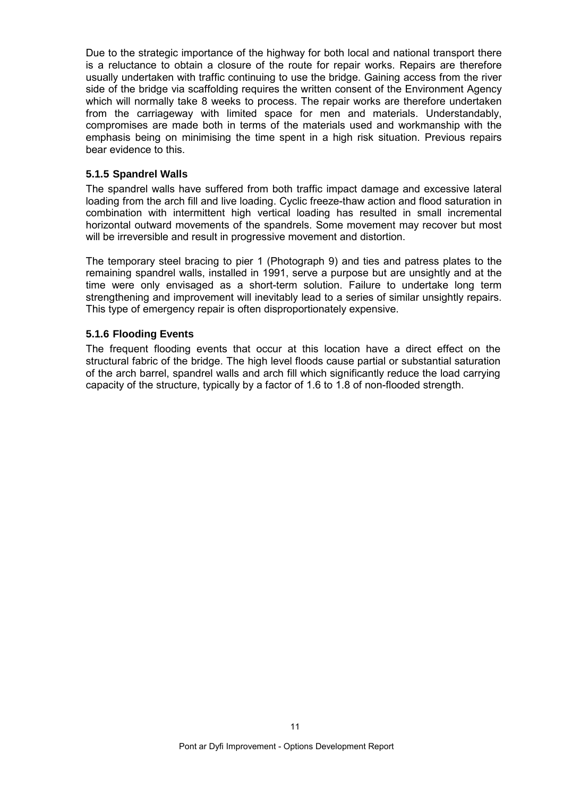Due to the strategic importance of the highway for both local and national transport there is a reluctance to obtain a closure of the route for repair works. Repairs are therefore usually undertaken with traffic continuing to use the bridge. Gaining access from the river side of the bridge via scaffolding requires the written consent of the Environment Agency which will normally take 8 weeks to process. The repair works are therefore undertaken from the carriageway with limited space for men and materials. Understandably, compromises are made both in terms of the materials used and workmanship with the emphasis being on minimising the time spent in a high risk situation. Previous repairs bear evidence to this.

#### **5.1.5 Spandrel Walls**

The spandrel walls have suffered from both traffic impact damage and excessive lateral loading from the arch fill and live loading. Cyclic freeze-thaw action and flood saturation in combination with intermittent high vertical loading has resulted in small incremental horizontal outward movements of the spandrels. Some movement may recover but most will be irreversible and result in progressive movement and distortion.

The temporary steel bracing to pier 1 (Photograph 9) and ties and patress plates to the remaining spandrel walls, installed in 1991, serve a purpose but are unsightly and at the time were only envisaged as a short-term solution. Failure to undertake long term strengthening and improvement will inevitably lead to a series of similar unsightly repairs. This type of emergency repair is often disproportionately expensive.

#### **5.1.6 Flooding Events**

The frequent flooding events that occur at this location have a direct effect on the structural fabric of the bridge. The high level floods cause partial or substantial saturation of the arch barrel, spandrel walls and arch fill which significantly reduce the load carrying capacity of the structure, typically by a factor of 1.6 to 1.8 of non-flooded strength.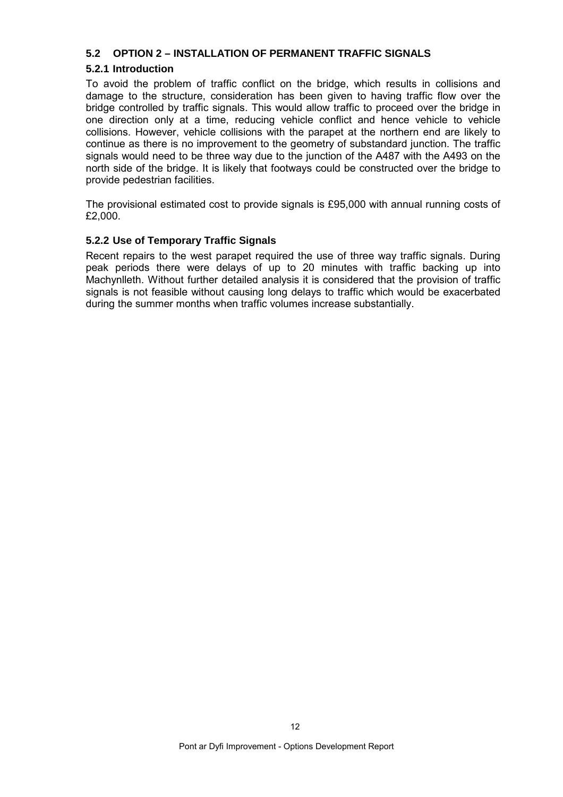### **5.2 OPTION 2 – INSTALLATION OF PERMANENT TRAFFIC SIGNALS**

# **5.2.1 Introduction**

To avoid the problem of traffic conflict on the bridge, which results in collisions and damage to the structure, consideration has been given to having traffic flow over the bridge controlled by traffic signals. This would allow traffic to proceed over the bridge in one direction only at a time, reducing vehicle conflict and hence vehicle to vehicle collisions. However, vehicle collisions with the parapet at the northern end are likely to continue as there is no improvement to the geometry of substandard junction. The traffic signals would need to be three way due to the junction of the A487 with the A493 on the north side of the bridge. It is likely that footways could be constructed over the bridge to provide pedestrian facilities.

The provisional estimated cost to provide signals is £95,000 with annual running costs of £2,000.

#### **5.2.2 Use of Temporary Traffic Signals**

Recent repairs to the west parapet required the use of three way traffic signals. During peak periods there were delays of up to 20 minutes with traffic backing up into Machynlleth. Without further detailed analysis it is considered that the provision of traffic signals is not feasible without causing long delays to traffic which would be exacerbated during the summer months when traffic volumes increase substantially.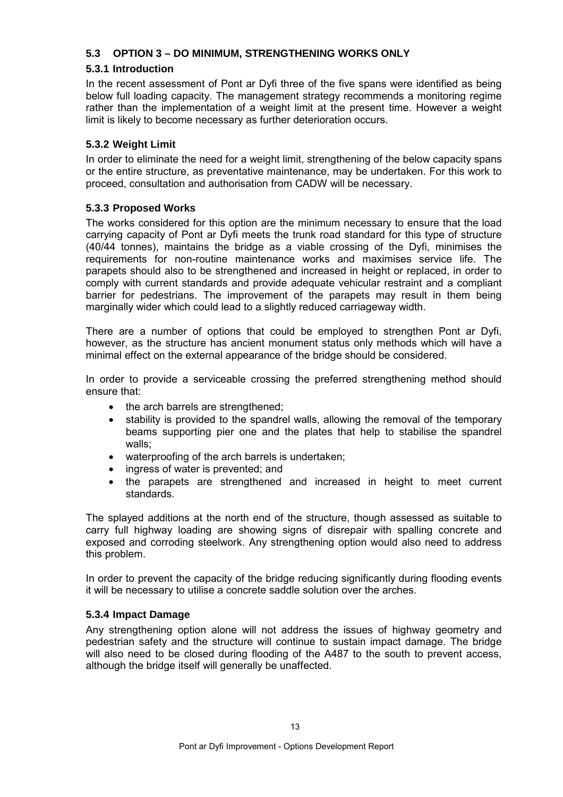# **5.3 OPTION 3 – DO MINIMUM, STRENGTHENING WORKS ONLY**

# **5.3.1 Introduction**

In the recent assessment of Pont ar Dyfi three of the five spans were identified as being below full loading capacity. The management strategy recommends a monitoring regime rather than the implementation of a weight limit at the present time. However a weight limit is likely to become necessary as further deterioration occurs.

# **5.3.2 Weight Limit**

In order to eliminate the need for a weight limit, strengthening of the below capacity spans or the entire structure, as preventative maintenance, may be undertaken. For this work to proceed, consultation and authorisation from CADW will be necessary.

# **5.3.3 Proposed Works**

The works considered for this option are the minimum necessary to ensure that the load carrying capacity of Pont ar Dyfi meets the trunk road standard for this type of structure (40/44 tonnes), maintains the bridge as a viable crossing of the Dyfi, minimises the requirements for non-routine maintenance works and maximises service life. The parapets should also to be strengthened and increased in height or replaced, in order to comply with current standards and provide adequate vehicular restraint and a compliant barrier for pedestrians. The improvement of the parapets may result in them being marginally wider which could lead to a slightly reduced carriageway width.

There are a number of options that could be employed to strengthen Pont ar Dyfi, however, as the structure has ancient monument status only methods which will have a minimal effect on the external appearance of the bridge should be considered.

In order to provide a serviceable crossing the preferred strengthening method should ensure that:

- the arch barrels are strengthened;
- stability is provided to the spandrel walls, allowing the removal of the temporary beams supporting pier one and the plates that help to stabilise the spandrel walls;
- waterproofing of the arch barrels is undertaken;
- ingress of water is prevented; and
- the parapets are strengthened and increased in height to meet current standards.

The splayed additions at the north end of the structure, though assessed as suitable to carry full highway loading are showing signs of disrepair with spalling concrete and exposed and corroding steelwork. Any strengthening option would also need to address this problem.

In order to prevent the capacity of the bridge reducing significantly during flooding events it will be necessary to utilise a concrete saddle solution over the arches.

#### **5.3.4 Impact Damage**

Any strengthening option alone will not address the issues of highway geometry and pedestrian safety and the structure will continue to sustain impact damage. The bridge will also need to be closed during flooding of the A487 to the south to prevent access, although the bridge itself will generally be unaffected.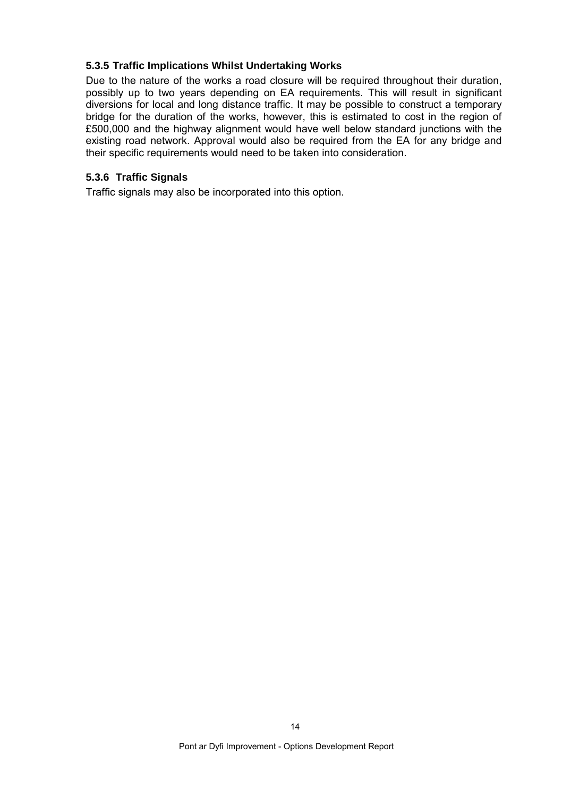#### **5.3.5 Traffic Implications Whilst Undertaking Works**

Due to the nature of the works a road closure will be required throughout their duration, possibly up to two years depending on EA requirements. This will result in significant diversions for local and long distance traffic. It may be possible to construct a temporary bridge for the duration of the works, however, this is estimated to cost in the region of £500,000 and the highway alignment would have well below standard junctions with the existing road network. Approval would also be required from the EA for any bridge and their specific requirements would need to be taken into consideration.

#### **5.3.6 Traffic Signals**

Traffic signals may also be incorporated into this option.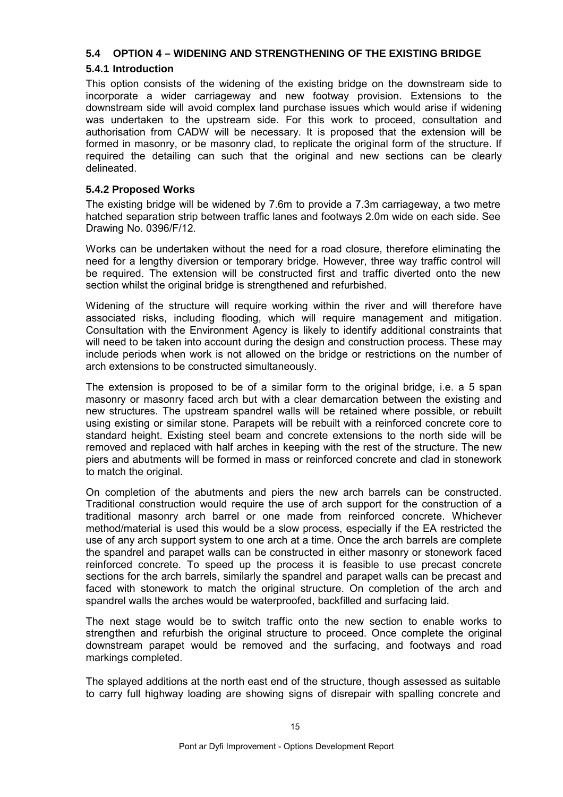# **5.4 OPTION 4 – WIDENING AND STRENGTHENING OF THE EXISTING BRIDGE**

# **5.4.1 Introduction**

This option consists of the widening of the existing bridge on the downstream side to incorporate a wider carriageway and new footway provision. Extensions to the downstream side will avoid complex land purchase issues which would arise if widening was undertaken to the upstream side. For this work to proceed, consultation and authorisation from CADW will be necessary. It is proposed that the extension will be formed in masonry, or be masonry clad, to replicate the original form of the structure. If required the detailing can such that the original and new sections can be clearly delineated.

# **5.4.2 Proposed Works**

The existing bridge will be widened by 7.6m to provide a 7.3m carriageway, a two metre hatched separation strip between traffic lanes and footways 2.0m wide on each side. See Drawing No. 0396/F/12.

Works can be undertaken without the need for a road closure, therefore eliminating the need for a lengthy diversion or temporary bridge. However, three way traffic control will be required. The extension will be constructed first and traffic diverted onto the new section whilst the original bridge is strengthened and refurbished.

Widening of the structure will require working within the river and will therefore have associated risks, including flooding, which will require management and mitigation. Consultation with the Environment Agency is likely to identify additional constraints that will need to be taken into account during the design and construction process. These may include periods when work is not allowed on the bridge or restrictions on the number of arch extensions to be constructed simultaneously.

The extension is proposed to be of a similar form to the original bridge, i.e. a 5 span masonry or masonry faced arch but with a clear demarcation between the existing and new structures. The upstream spandrel walls will be retained where possible, or rebuilt using existing or similar stone. Parapets will be rebuilt with a reinforced concrete core to standard height. Existing steel beam and concrete extensions to the north side will be removed and replaced with half arches in keeping with the rest of the structure. The new piers and abutments will be formed in mass or reinforced concrete and clad in stonework to match the original.

On completion of the abutments and piers the new arch barrels can be constructed. Traditional construction would require the use of arch support for the construction of a traditional masonry arch barrel or one made from reinforced concrete. Whichever method/material is used this would be a slow process, especially if the EA restricted the use of any arch support system to one arch at a time. Once the arch barrels are complete the spandrel and parapet walls can be constructed in either masonry or stonework faced reinforced concrete. To speed up the process it is feasible to use precast concrete sections for the arch barrels, similarly the spandrel and parapet walls can be precast and faced with stonework to match the original structure. On completion of the arch and spandrel walls the arches would be waterproofed, backfilled and surfacing laid.

The next stage would be to switch traffic onto the new section to enable works to strengthen and refurbish the original structure to proceed. Once complete the original downstream parapet would be removed and the surfacing, and footways and road markings completed.

The splayed additions at the north east end of the structure, though assessed as suitable to carry full highway loading are showing signs of disrepair with spalling concrete and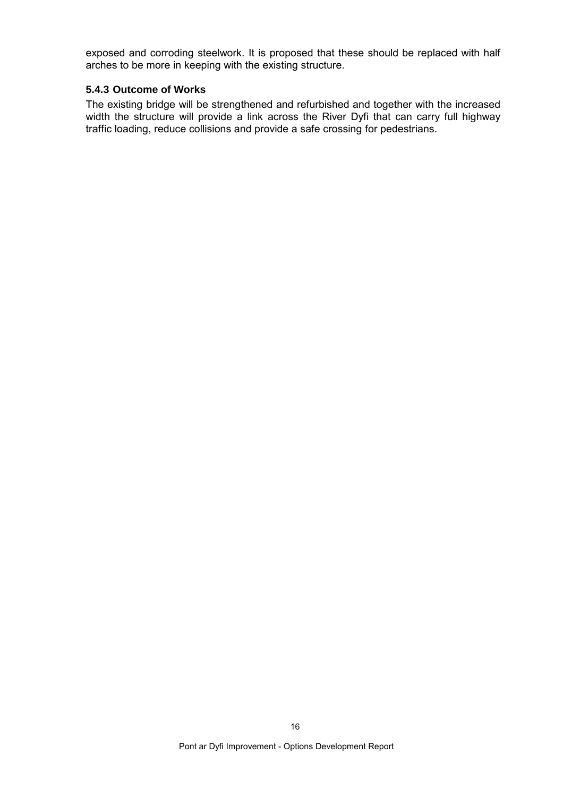exposed and corroding steelwork. It is proposed that these should be replaced with half arches to be more in keeping with the existing structure.

# **5.4.3 Outcome of Works**

The existing bridge will be strengthened and refurbished and together with the increased width the structure will provide a link across the River Dyfi that can carry full highway traffic loading, reduce collisions and provide a safe crossing for pedestrians.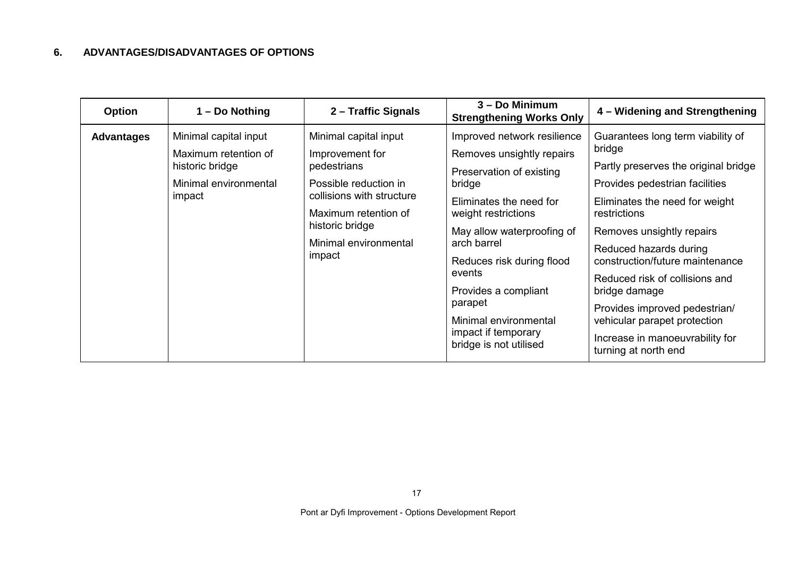# **6. ADVANTAGES/DISADVANTAGES OF OPTIONS**

| <b>Option</b>     | 1 – Do Nothing                                                                                      | 2 – Traffic Signals                                                                                                                                                                         | 3 – Do Minimum<br><b>Strengthening Works Only</b>                                                                                                                                                                                                                                                                                                 | 4 – Widening and Strengthening                                                                                                                                                                                                                                                                                                                                                                                                                   |
|-------------------|-----------------------------------------------------------------------------------------------------|---------------------------------------------------------------------------------------------------------------------------------------------------------------------------------------------|---------------------------------------------------------------------------------------------------------------------------------------------------------------------------------------------------------------------------------------------------------------------------------------------------------------------------------------------------|--------------------------------------------------------------------------------------------------------------------------------------------------------------------------------------------------------------------------------------------------------------------------------------------------------------------------------------------------------------------------------------------------------------------------------------------------|
| <b>Advantages</b> | Minimal capital input<br>Maximum retention of<br>historic bridge<br>Minimal environmental<br>impact | Minimal capital input<br>Improvement for<br>pedestrians<br>Possible reduction in<br>collisions with structure<br>Maximum retention of<br>historic bridge<br>Minimal environmental<br>impact | Improved network resilience<br>Removes unsightly repairs<br>Preservation of existing<br>bridge<br>Eliminates the need for<br>weight restrictions<br>May allow waterproofing of<br>arch barrel<br>Reduces risk during flood<br>events<br>Provides a compliant<br>parapet<br>Minimal environmental<br>impact if temporary<br>bridge is not utilised | Guarantees long term viability of<br>bridge<br>Partly preserves the original bridge<br>Provides pedestrian facilities<br>Eliminates the need for weight<br>restrictions<br>Removes unsightly repairs<br>Reduced hazards during<br>construction/future maintenance<br>Reduced risk of collisions and<br>bridge damage<br>Provides improved pedestrian/<br>vehicular parapet protection<br>Increase in manoeuvrability for<br>turning at north end |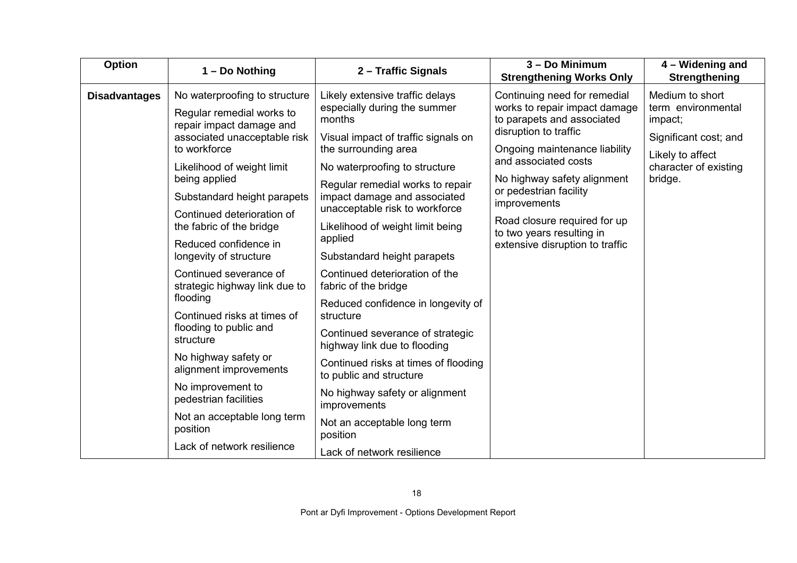| Option               | 1 - Do Nothing                                                           | 2 - Traffic Signals                                                                                | 3 - Do Minimum<br><b>Strengthening Works Only</b>                                                                                                                                                                                                                                                                                                      | 4 – Widening and<br>Strengthening                                                                                                 |
|----------------------|--------------------------------------------------------------------------|----------------------------------------------------------------------------------------------------|--------------------------------------------------------------------------------------------------------------------------------------------------------------------------------------------------------------------------------------------------------------------------------------------------------------------------------------------------------|-----------------------------------------------------------------------------------------------------------------------------------|
| <b>Disadvantages</b> | No waterproofing to structure<br>Regular remedial works to               | Likely extensive traffic delays<br>especially during the summer                                    | Continuing need for remedial<br>works to repair impact damage<br>to parapets and associated<br>disruption to traffic<br>Ongoing maintenance liability<br>and associated costs<br>No highway safety alignment<br>or pedestrian facility<br>improvements<br>Road closure required for up<br>to two years resulting in<br>extensive disruption to traffic | Medium to short<br>term environmental<br>impact;<br>Significant cost; and<br>Likely to affect<br>character of existing<br>bridge. |
|                      | repair impact damage and<br>associated unacceptable risk<br>to workforce | months<br>Visual impact of traffic signals on<br>the surrounding area                              |                                                                                                                                                                                                                                                                                                                                                        |                                                                                                                                   |
|                      | Likelihood of weight limit                                               | No waterproofing to structure                                                                      |                                                                                                                                                                                                                                                                                                                                                        |                                                                                                                                   |
|                      | being applied<br>Substandard height parapets                             | Regular remedial works to repair<br>impact damage and associated<br>unacceptable risk to workforce |                                                                                                                                                                                                                                                                                                                                                        |                                                                                                                                   |
|                      | Continued deterioration of<br>the fabric of the bridge                   | Likelihood of weight limit being                                                                   |                                                                                                                                                                                                                                                                                                                                                        |                                                                                                                                   |
|                      | Reduced confidence in<br>longevity of structure                          | applied<br>Substandard height parapets                                                             |                                                                                                                                                                                                                                                                                                                                                        |                                                                                                                                   |
|                      | Continued severance of<br>strategic highway link due to                  | Continued deterioration of the<br>fabric of the bridge                                             |                                                                                                                                                                                                                                                                                                                                                        |                                                                                                                                   |
|                      | flooding<br>Continued risks at times of                                  | Reduced confidence in longevity of<br>structure                                                    |                                                                                                                                                                                                                                                                                                                                                        |                                                                                                                                   |
|                      | flooding to public and<br>structure                                      | Continued severance of strategic<br>highway link due to flooding                                   |                                                                                                                                                                                                                                                                                                                                                        |                                                                                                                                   |
|                      | No highway safety or<br>alignment improvements                           | Continued risks at times of flooding<br>to public and structure                                    |                                                                                                                                                                                                                                                                                                                                                        |                                                                                                                                   |
|                      | No improvement to<br>pedestrian facilities                               | No highway safety or alignment<br>improvements                                                     |                                                                                                                                                                                                                                                                                                                                                        |                                                                                                                                   |
|                      | Not an acceptable long term<br>position                                  | Not an acceptable long term<br>position                                                            |                                                                                                                                                                                                                                                                                                                                                        |                                                                                                                                   |
|                      | Lack of network resilience                                               | Lack of network resilience                                                                         |                                                                                                                                                                                                                                                                                                                                                        |                                                                                                                                   |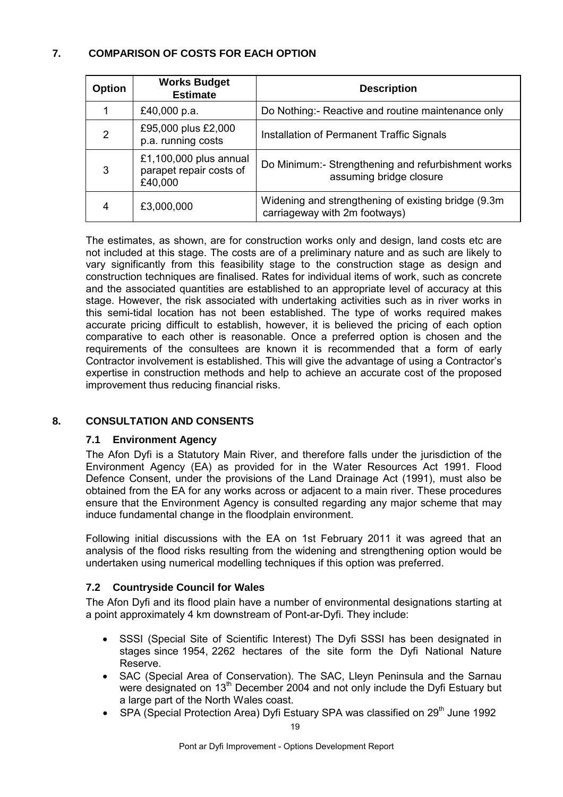# **7. COMPARISON OF COSTS FOR EACH OPTION**

| <b>Option</b> | <b>Works Budget</b><br><b>Estimate</b>                       | <b>Description</b>                                                                    |
|---------------|--------------------------------------------------------------|---------------------------------------------------------------------------------------|
|               | £40,000 p.a.                                                 | Do Nothing:- Reactive and routine maintenance only                                    |
| 2             | £95,000 plus £2,000<br>p.a. running costs                    | Installation of Permanent Traffic Signals                                             |
| 3             | £1,100,000 plus annual<br>parapet repair costs of<br>£40,000 | Do Minimum:- Strengthening and refurbishment works<br>assuming bridge closure         |
| 4             | £3,000,000                                                   | Widening and strengthening of existing bridge (9.3m)<br>carriageway with 2m footways) |

The estimates, as shown, are for construction works only and design, land costs etc are not included at this stage. The costs are of a preliminary nature and as such are likely to vary significantly from this feasibility stage to the construction stage as design and construction techniques are finalised. Rates for individual items of work, such as concrete and the associated quantities are established to an appropriate level of accuracy at this stage. However, the risk associated with undertaking activities such as in river works in this semi-tidal location has not been established. The type of works required makes accurate pricing difficult to establish, however, it is believed the pricing of each option comparative to each other is reasonable. Once a preferred option is chosen and the requirements of the consultees are known it is recommended that a form of early Contractor involvement is established. This will give the advantage of using a Contractor's expertise in construction methods and help to achieve an accurate cost of the proposed improvement thus reducing financial risks.

# **8. CONSULTATION AND CONSENTS**

# **7.1 Environment Agency**

The Afon Dyfi is a Statutory Main River, and therefore falls under the jurisdiction of the Environment Agency (EA) as provided for in the Water Resources Act 1991. Flood Defence Consent, under the provisions of the Land Drainage Act (1991), must also be obtained from the EA for any works across or adjacent to a main river. These procedures ensure that the Environment Agency is consulted regarding any major scheme that may induce fundamental change in the floodplain environment.

Following initial discussions with the EA on 1st February 2011 it was agreed that an analysis of the flood risks resulting from the widening and strengthening option would be undertaken using numerical modelling techniques if this option was preferred.

# **7.2 Countryside Council for Wales**

The Afon Dyfi and its flood plain have a number of environmental designations starting at a point approximately 4 km downstream of Pont-ar-Dyfi. They include:

- SSSI (Special Site of Scientific Interest) The Dyfi SSSI has been designated in stages since 1954, 2262 hectares of the site form the Dyfi National Nature Reserve.
- SAC (Special Area of Conservation). The SAC, Lleyn Peninsula and the Sarnau were designated on 13<sup>th</sup> December 2004 and not only include the Dyfi Estuary but a large part of the North Wales coast.
- SPA (Special Protection Area) Dyfi Estuary SPA was classified on 29<sup>th</sup> June 1992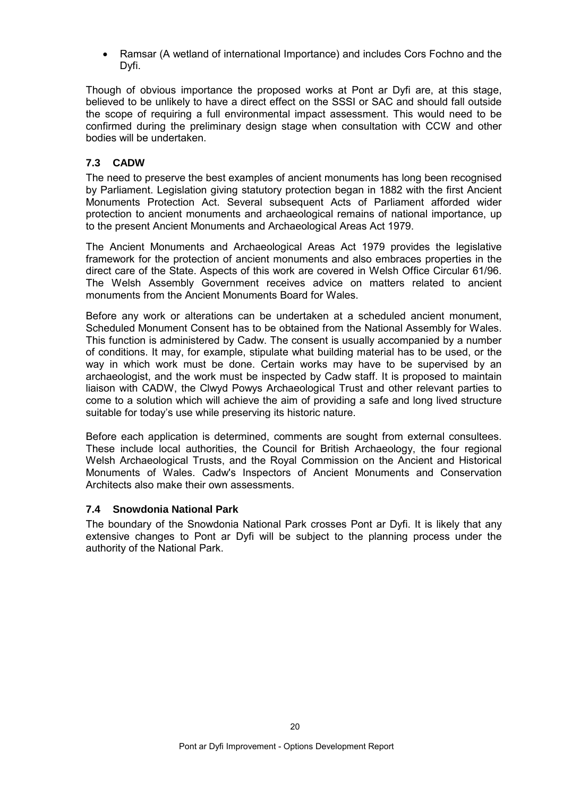• Ramsar (A wetland of international Importance) and includes Cors Fochno and the Dyfi.

Though of obvious importance the proposed works at Pont ar Dyfi are, at this stage, believed to be unlikely to have a direct effect on the SSSI or SAC and should fall outside the scope of requiring a full environmental impact assessment. This would need to be confirmed during the preliminary design stage when consultation with CCW and other bodies will be undertaken.

# **7.3 CADW**

The need to preserve the best examples of ancient monuments has long been recognised by Parliament. Legislation giving statutory protection began in 1882 with the first Ancient Monuments Protection Act. Several subsequent Acts of Parliament afforded wider protection to ancient monuments and archaeological remains of national importance, up to the present Ancient Monuments and Archaeological Areas Act 1979.

The Ancient Monuments and Archaeological Areas Act 1979 provides the legislative framework for the protection of ancient monuments and also embraces properties in the direct care of the State. Aspects of this work are covered in Welsh Office Circular 61/96. The Welsh Assembly Government receives advice on matters related to ancient monuments from the Ancient Monuments Board for Wales.

Before any work or alterations can be undertaken at a scheduled ancient monument, Scheduled Monument Consent has to be obtained from the National Assembly for Wales. This function is administered by Cadw. The consent is usually accompanied by a number of conditions. It may, for example, stipulate what building material has to be used, or the way in which work must be done. Certain works may have to be supervised by an archaeologist, and the work must be inspected by Cadw staff. It is proposed to maintain liaison with CADW, the Clwyd Powys Archaeological Trust and other relevant parties to come to a solution which will achieve the aim of providing a safe and long lived structure suitable for today's use while preserving its historic nature.

Before each application is determined, comments are sought from external consultees. These include local authorities, the Council for British Archaeology, the four regional Welsh Archaeological Trusts, and the Royal Commission on the Ancient and Historical Monuments of Wales. Cadw's Inspectors of Ancient Monuments and Conservation Architects also make their own assessments.

#### **7.4 Snowdonia National Park**

The boundary of the Snowdonia National Park crosses Pont ar Dyfi. It is likely that any extensive changes to Pont ar Dyfi will be subject to the planning process under the authority of the National Park.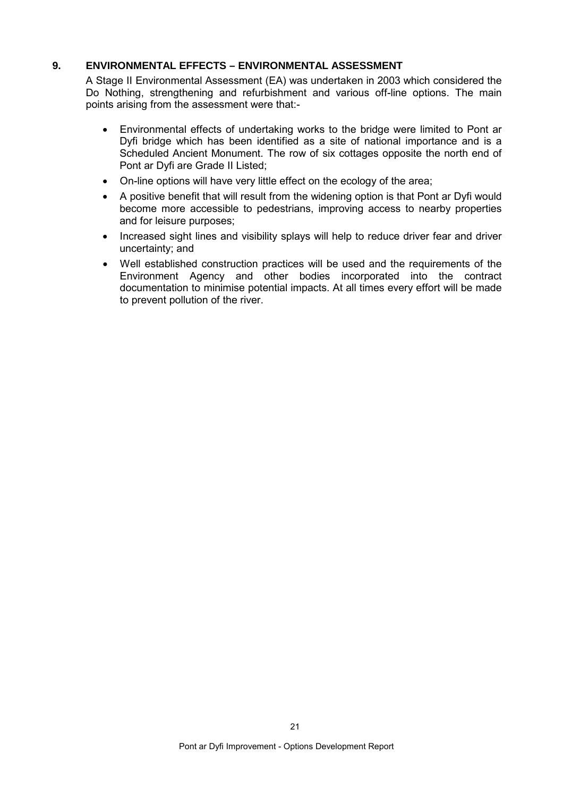### **9. ENVIRONMENTAL EFFECTS – ENVIRONMENTAL ASSESSMENT**

A Stage II Environmental Assessment (EA) was undertaken in 2003 which considered the Do Nothing, strengthening and refurbishment and various off-line options. The main points arising from the assessment were that:-

- Environmental effects of undertaking works to the bridge were limited to Pont ar Dyfi bridge which has been identified as a site of national importance and is a Scheduled Ancient Monument. The row of six cottages opposite the north end of Pont ar Dyfi are Grade II Listed;
- On-line options will have very little effect on the ecology of the area;
- A positive benefit that will result from the widening option is that Pont ar Dyfi would become more accessible to pedestrians, improving access to nearby properties and for leisure purposes;
- Increased sight lines and visibility splays will help to reduce driver fear and driver uncertainty; and
- Well established construction practices will be used and the requirements of the Environment Agency and other bodies incorporated into the contract documentation to minimise potential impacts. At all times every effort will be made to prevent pollution of the river.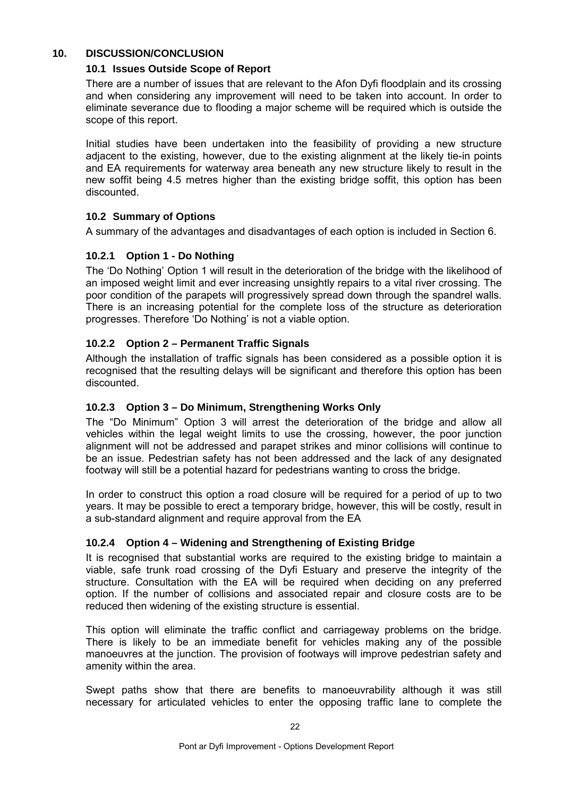#### **10. DISCUSSION/CONCLUSION**

#### **10.1 Issues Outside Scope of Report**

There are a number of issues that are relevant to the Afon Dyfi floodplain and its crossing and when considering any improvement will need to be taken into account. In order to eliminate severance due to flooding a major scheme will be required which is outside the scope of this report.

Initial studies have been undertaken into the feasibility of providing a new structure adjacent to the existing, however, due to the existing alignment at the likely tie-in points and EA requirements for waterway area beneath any new structure likely to result in the new soffit being 4.5 metres higher than the existing bridge soffit, this option has been discounted.

#### **10.2 Summary of Options**

A summary of the advantages and disadvantages of each option is included in Section 6.

#### **10.2.1 Option 1 - Do Nothing**

The 'Do Nothing' Option 1 will result in the deterioration of the bridge with the likelihood of an imposed weight limit and ever increasing unsightly repairs to a vital river crossing. The poor condition of the parapets will progressively spread down through the spandrel walls. There is an increasing potential for the complete loss of the structure as deterioration progresses. Therefore 'Do Nothing' is not a viable option.

#### **10.2.2 Option 2 – Permanent Traffic Signals**

Although the installation of traffic signals has been considered as a possible option it is recognised that the resulting delays will be significant and therefore this option has been discounted.

#### **10.2.3 Option 3 – Do Minimum, Strengthening Works Only**

The "Do Minimum" Option 3 will arrest the deterioration of the bridge and allow all vehicles within the legal weight limits to use the crossing, however, the poor junction alignment will not be addressed and parapet strikes and minor collisions will continue to be an issue. Pedestrian safety has not been addressed and the lack of any designated footway will still be a potential hazard for pedestrians wanting to cross the bridge.

In order to construct this option a road closure will be required for a period of up to two years. It may be possible to erect a temporary bridge, however, this will be costly, result in a sub-standard alignment and require approval from the EA

#### **10.2.4 Option 4 – Widening and Strengthening of Existing Bridge**

It is recognised that substantial works are required to the existing bridge to maintain a viable, safe trunk road crossing of the Dyfi Estuary and preserve the integrity of the structure. Consultation with the EA will be required when deciding on any preferred option. If the number of collisions and associated repair and closure costs are to be reduced then widening of the existing structure is essential.

This option will eliminate the traffic conflict and carriageway problems on the bridge. There is likely to be an immediate benefit for vehicles making any of the possible manoeuvres at the junction. The provision of footways will improve pedestrian safety and amenity within the area.

Swept paths show that there are benefits to manoeuvrability although it was still necessary for articulated vehicles to enter the opposing traffic lane to complete the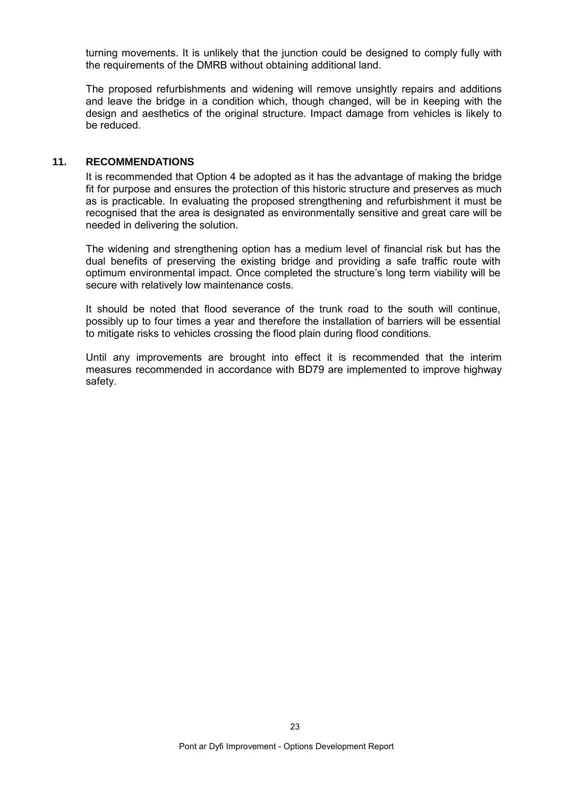turning movements. It is unlikely that the junction could be designed to comply fully with the requirements of the DMRB without obtaining additional land.

The proposed refurbishments and widening will remove unsightly repairs and additions and leave the bridge in a condition which, though changed, will be in keeping with the design and aesthetics of the original structure. Impact damage from vehicles is likely to be reduced.

#### **11. RECOMMENDATIONS**

It is recommended that Option 4 be adopted as it has the advantage of making the bridge fit for purpose and ensures the protection of this historic structure and preserves as much as is practicable. In evaluating the proposed strengthening and refurbishment it must be recognised that the area is designated as environmentally sensitive and great care will be needed in delivering the solution.

The widening and strengthening option has a medium level of financial risk but has the dual benefits of preserving the existing bridge and providing a safe traffic route with optimum environmental impact. Once completed the structure's long term viability will be secure with relatively low maintenance costs.

It should be noted that flood severance of the trunk road to the south will continue, possibly up to four times a year and therefore the installation of barriers will be essential to mitigate risks to vehicles crossing the flood plain during flood conditions.

Until any improvements are brought into effect it is recommended that the interim measures recommended in accordance with BD79 are implemented to improve highway safety.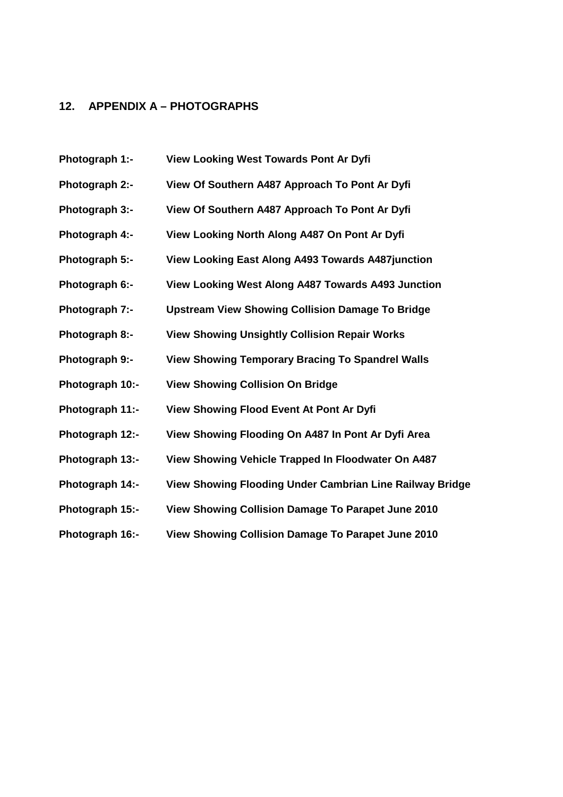### **12. APPENDIX A – PHOTOGRAPHS**

**Photograph 1:- View Looking West Towards Pont Ar Dyfi Photograph 2:- View Of Southern A487 Approach To Pont Ar Dyfi Photograph 3:- View Of Southern A487 Approach To Pont Ar Dyfi Photograph 4:- View Looking North Along A487 On Pont Ar Dyfi Photograph 5:- View Looking East Along A493 Towards A487junction Photograph 6:- View Looking West Along A487 Towards A493 Junction Photograph 7:- Upstream View Showing Collision Damage To Bridge Photograph 8:- View Showing Unsightly Collision Repair Works Photograph 9:- View Showing Temporary Bracing To Spandrel Walls Photograph 10:- View Showing Collision On Bridge Photograph 11:- View Showing Flood Event At Pont Ar Dyfi Photograph 12:- View Showing Flooding On A487 In Pont Ar Dyfi Area Photograph 13:- View Showing Vehicle Trapped In Floodwater On A487 Photograph 14:- View Showing Flooding Under Cambrian Line Railway Bridge Photograph 15:- View Showing Collision Damage To Parapet June 2010 Photograph 16:- View Showing Collision Damage To Parapet June 2010**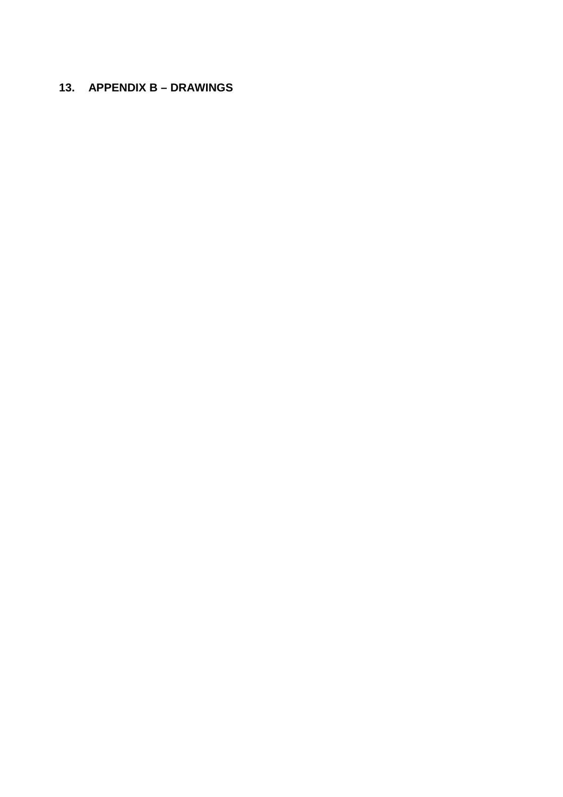# **13. APPENDIX B – DRAWINGS**